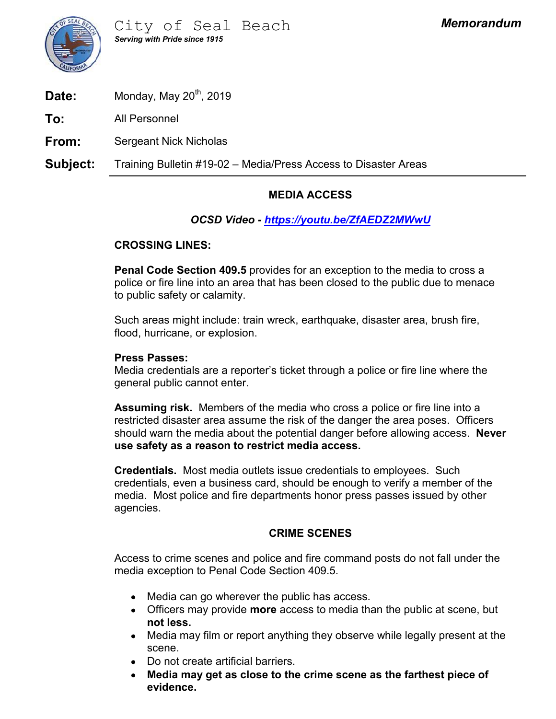

**Date:** Monday, May  $20^{th}$ , 2019

To: All Personnel

**From:** Sergeant Nick Nicholas

Subject: Training Bulletin #19-02 – Media/Press Access to Disaster Areas<br>
Subject: Training Bulletin #19-02 – Media/Press Access to Disaster Areas<br>
Subject: Training Bulletin #19-02 – Media/Press Access to Disaster Areas<br>

## MEDIA ACCESS

# OCSD Video - https://youtu.be/ZfAEDZ2MWwU

### CROSSING LINES:

Penal Code Section 409.5 provides for an exception to the media to cross a police or fire line into an area that has been closed to the public due to menace to public safety or calamity.

Such areas might include: train wreck, earthquake, disaster area, brush fire, flood, hurricane, or explosion.

#### Press Passes:

Media credentials are a reporter's ticket through a police or fire line where the general public cannot enter.

Assuming risk. Members of the media who cross a police or fire line into a restricted disaster area assume the risk of the danger the area poses. Officers should warn the media about the potential danger before allowing access. Never use safety as a reason to restrict media access. wreck, earthquake, disaster area, brush fire,<br>
"s ticket through a police or fire line where the<br>
e media who cross a police or fire line into a<br>
the risk of the danger the area poses. Officers<br>
e potential danger before a

Credentials. Most media outlets issue credentials to employees. Such credentials, even a business card, should be enough to verify a member of the media. Most police and fire departments honor press passes issued by other agencies.

Access to crime scenes and police and fire command posts do not fall under the media exception to Penal Code Section 409.5.

- Media can go wherever the public has access.
- Officers may provide more access to media than the public at scene, but not less.
- Media may film or report anything they observe while legally present at the scene.
- Do not create artificial barriers.  $\bullet$
- Media may get as close to the crime scene as the farthest piece of  $\bullet$ evidence.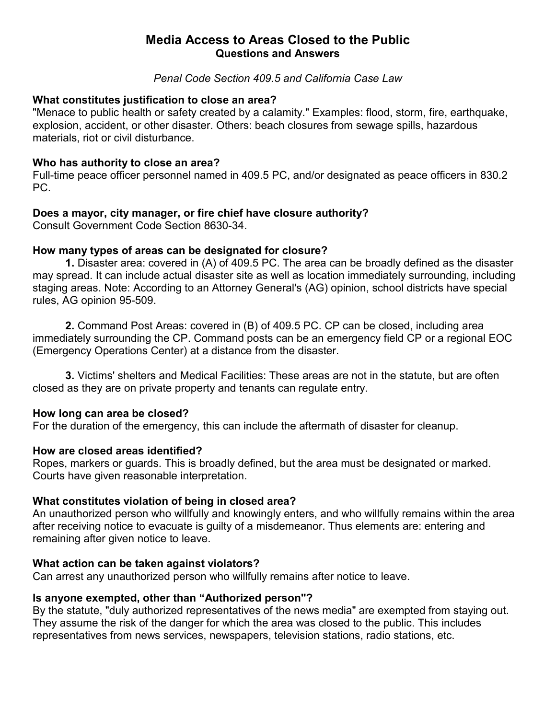# Media Access to Areas Closed to the Public Questions and Answers

#### Penal Code Section 409.5 and California Case Law

#### What constitutes justification to close an area?

"Menace to public health or safety created by a calamity." Examples: flood, storm, fire, earthquake, explosion, accident, or other disaster. Others: beach closures from sewage spills, hazardous materials, riot or civil disturbance. Media Access to Areas Closed to the Public<br>
Questions and Answers<br>
Penal Code Section 409.5 and California Case Law<br>
What constitutes justification to close an area?<br>
"Menace to public health or safety created by a calamit

#### Who has authority to close an area?

Full-time peace officer personnel named in 409.5 PC, and/or designated as peace officers in 830.2 PC.

Consult Government Code Section 8630-34.

#### How many types of areas can be designated for closure?

**Media Access to Areas Closed to the Public<br>
Cuestions and Answers<br>
Penal Code Section 409.5 and California Case Law<br>
constitutes justification to close an area?<br>
ce to public health or safety created by a calamity." Examp** may spread. It can include actual disaster site as well as location immediately surrounding, including Starting areas. Note: The constitutes in the system of the state of the method of the method of conserved to public health or safety created by a calamity." Examples: flood, storm, fire, earthquake, explosion, accident, or rules, AG opinion 95-509. constitutes justification to close an area?<br>
2. co to public health or safety created by a calamity," Examples: flood, storm, fire, earthquake,<br>
2. Com, accident, or other disaster. Others: beach closures from sewage spill as, not of own disturbance.<br> **as authority to close an area?**<br>
The peace officer personnel named in 409.5 PC, and/or designated as peace officers in 830.2<br> **a mayor, city manager, or fire chief have closure authority?**<br> **1** Lows a large transfer of the client last and the close and the consult Government Code Section 8630-34.<br>
How many types of areas can be designated for closure?<br>
1. Disaster area: covered in (A) of 409.5 PC. The area can be

immediately surrounding the CP. Command posts can be an emergency field CP or a regional EOC (Emergency Operations Center) at a distance from the disaster. are through a maximum of an introduced person and (B) of 409.5 PC. CP can be closed, including area<br>timediately surrounding the CP. Command posts can be an emergency field CP or a regional EOC<br>(Emergency Operations Center)

closed as they are on private property and tenants can regulate entry.

#### How long can area be closed?

For the duration of the emergency, this can include the aftermath of disaster for cleanup.

Ropes, markers or guards. This is broadly defined, but the area must be designated or marked. Courts have given reasonable interpretation.

#### What constitutes violation of being in closed area?

An unauthorized person who willfully and knowingly enters, and who willfully remains within the area remaining after given notice to leave. How long can area be closed?<br>For the duration of the emergency, this can include the aftermath of disaster for cleanup<br>How are closed areas identified?<br>Ropes, markers or guards. This is broadly defined, but the area must b

#### What action can be taken against violators?

Can arrest any unauthorized person who willfully remains after notice to leave.

#### Is anyone exempted, other than "Authorized person"?

By the statute, "duly authorized representatives of the news media" are exempted from staying out. They assume the risk of the danger for which the area was closed to the public. This includes